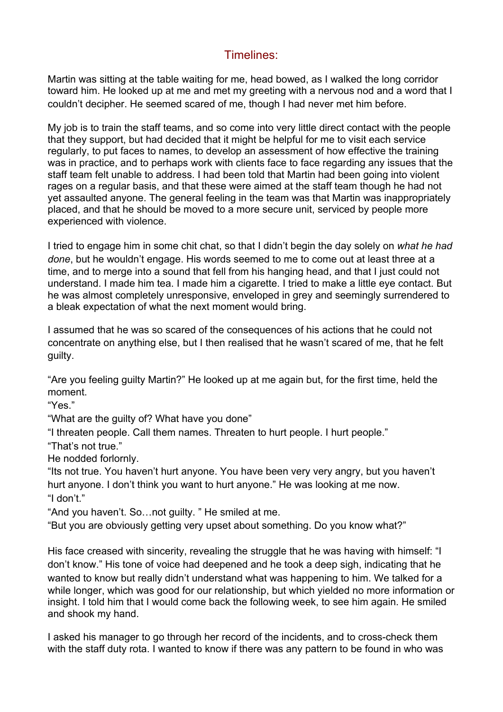## Timelines:

Martin was sitting at the table waiting for me, head bowed, as I walked the long corridor toward him. He looked up at me and met my greeting with a nervous nod and a word that I couldn't decipher. He seemed scared of me, though I had never met him before.

My job is to train the staff teams, and so come into very little direct contact with the people that they support, but had decided that it might be helpful for me to visit each service regularly, to put faces to names, to develop an assessment of how effective the training was in practice, and to perhaps work with clients face to face regarding any issues that the staff team felt unable to address. I had been told that Martin had been going into violent rages on a regular basis, and that these were aimed at the staff team though he had not yet assaulted anyone. The general feeling in the team was that Martin was inappropriately placed, and that he should be moved to a more secure unit, serviced by people more experienced with violence.

I tried to engage him in some chit chat, so that I didn't begin the day solely on *what he had done*, but he wouldn't engage. His words seemed to me to come out at least three at a time, and to merge into a sound that fell from his hanging head, and that I just could not understand. I made him tea. I made him a cigarette. I tried to make a little eye contact. But he was almost completely unresponsive, enveloped in grey and seemingly surrendered to a bleak expectation of what the next moment would bring.

I assumed that he was so scared of the consequences of his actions that he could not concentrate on anything else, but I then realised that he wasn't scared of me, that he felt guilty.

"Are you feeling guilty Martin?" He looked up at me again but, for the first time, held the moment.

"Yes."

"What are the guilty of? What have you done"

"I threaten people. Call them names. Threaten to hurt people. I hurt people."

"That's not true."

He nodded forlornly.

"Its not true. You haven't hurt anyone. You have been very very angry, but you haven't hurt anyone. I don't think you want to hurt anyone." He was looking at me now. "I don't."

"And you haven't. So…not guilty. " He smiled at me.

"But you are obviously getting very upset about something. Do you know what?"

His face creased with sincerity, revealing the struggle that he was having with himself: "I don't know." His tone of voice had deepened and he took a deep sigh, indicating that he wanted to know but really didn't understand what was happening to him. We talked for a while longer, which was good for our relationship, but which yielded no more information or insight. I told him that I would come back the following week, to see him again. He smiled and shook my hand.

I asked his manager to go through her record of the incidents, and to cross-check them with the staff duty rota. I wanted to know if there was any pattern to be found in who was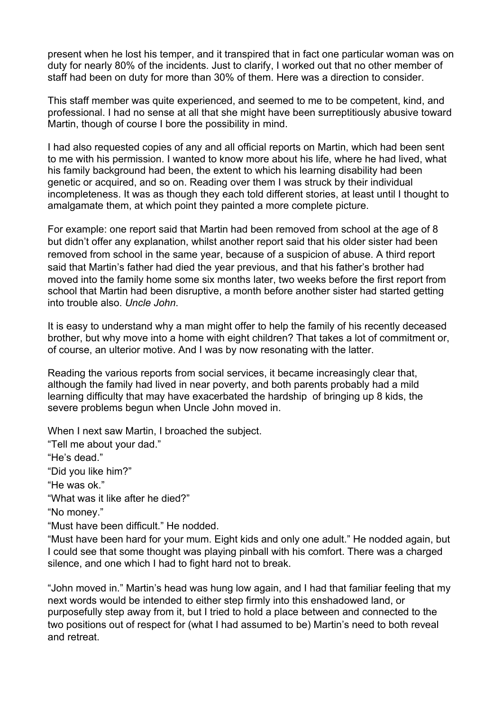present when he lost his temper, and it transpired that in fact one particular woman was on duty for nearly 80% of the incidents. Just to clarify, I worked out that no other member of staff had been on duty for more than 30% of them. Here was a direction to consider.

This staff member was quite experienced, and seemed to me to be competent, kind, and professional. I had no sense at all that she might have been surreptitiously abusive toward Martin, though of course I bore the possibility in mind.

I had also requested copies of any and all official reports on Martin, which had been sent to me with his permission. I wanted to know more about his life, where he had lived, what his family background had been, the extent to which his learning disability had been genetic or acquired, and so on. Reading over them I was struck by their individual incompleteness. It was as though they each told different stories, at least until I thought to amalgamate them, at which point they painted a more complete picture.

For example: one report said that Martin had been removed from school at the age of 8 but didn't offer any explanation, whilst another report said that his older sister had been removed from school in the same year, because of a suspicion of abuse. A third report said that Martin's father had died the year previous, and that his father's brother had moved into the family home some six months later, two weeks before the first report from school that Martin had been disruptive, a month before another sister had started getting into trouble also. *Uncle John*.

It is easy to understand why a man might offer to help the family of his recently deceased brother, but why move into a home with eight children? That takes a lot of commitment or, of course, an ulterior motive. And I was by now resonating with the latter.

Reading the various reports from social services, it became increasingly clear that, although the family had lived in near poverty, and both parents probably had a mild learning difficulty that may have exacerbated the hardship of bringing up 8 kids, the severe problems begun when Uncle John moved in.

When I next saw Martin, I broached the subject.

"Tell me about your dad."

"He's dead."

"Did you like him?"

"He was ok."

"What was it like after he died?"

"No money."

"Must have been difficult." He nodded.

"Must have been hard for your mum. Eight kids and only one adult." He nodded again, but I could see that some thought was playing pinball with his comfort. There was a charged silence, and one which I had to fight hard not to break.

"John moved in." Martin's head was hung low again, and I had that familiar feeling that my next words would be intended to either step firmly into this enshadowed land, or purposefully step away from it, but I tried to hold a place between and connected to the two positions out of respect for (what I had assumed to be) Martin's need to both reveal and retreat.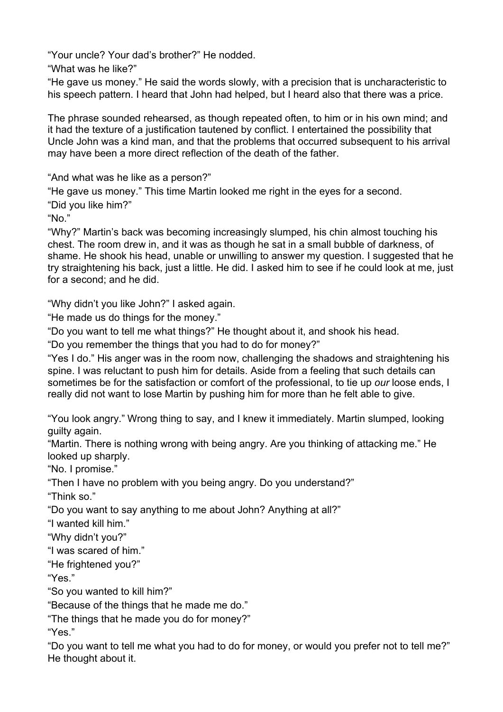"Your uncle? Your dad's brother?" He nodded.

"What was he like?"

"He gave us money." He said the words slowly, with a precision that is uncharacteristic to his speech pattern. I heard that John had helped, but I heard also that there was a price.

The phrase sounded rehearsed, as though repeated often, to him or in his own mind; and it had the texture of a justification tautened by conflict. I entertained the possibility that Uncle John was a kind man, and that the problems that occurred subsequent to his arrival may have been a more direct reflection of the death of the father.

"And what was he like as a person?"

"He gave us money." This time Martin looked me right in the eyes for a second.

"Did you like him?"

"No."

"Why?" Martin's back was becoming increasingly slumped, his chin almost touching his chest. The room drew in, and it was as though he sat in a small bubble of darkness, of shame. He shook his head, unable or unwilling to answer my question. I suggested that he try straightening his back, just a little. He did. I asked him to see if he could look at me, just for a second; and he did.

"Why didn't you like John?" I asked again.

"He made us do things for the money."

"Do you want to tell me what things?" He thought about it, and shook his head.

"Do you remember the things that you had to do for money?"

"Yes I do." His anger was in the room now, challenging the shadows and straightening his spine. I was reluctant to push him for details. Aside from a feeling that such details can sometimes be for the satisfaction or comfort of the professional, to tie up *our* loose ends, I really did not want to lose Martin by pushing him for more than he felt able to give.

"You look angry." Wrong thing to say, and I knew it immediately. Martin slumped, looking guilty again.

"Martin. There is nothing wrong with being angry. Are you thinking of attacking me." He looked up sharply.

"No. I promise."

"Then I have no problem with you being angry. Do you understand?"

"Think so."

"Do you want to say anything to me about John? Anything at all?"

"I wanted kill him."

"Why didn't you?"

"I was scared of him."

"He frightened you?"

"Yes."

"So you wanted to kill him?"

"Because of the things that he made me do."

"The things that he made you do for money?"

"Yes."

"Do you want to tell me what you had to do for money, or would you prefer not to tell me?" He thought about it.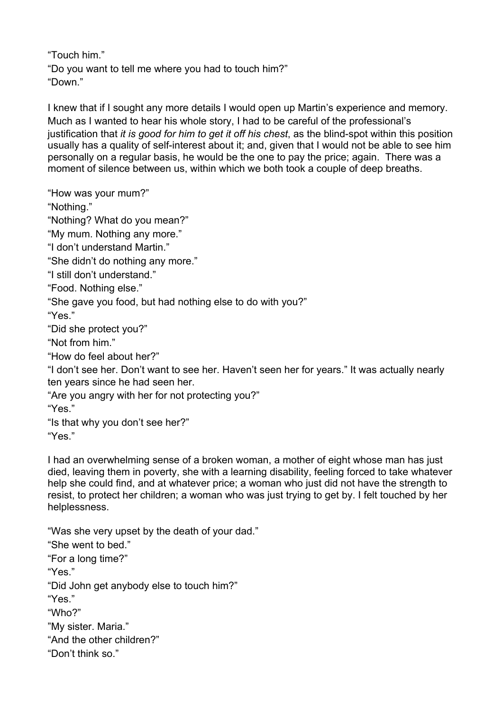"Touch him." "Do you want to tell me where you had to touch him?" "Down."

I knew that if I sought any more details I would open up Martin's experience and memory. Much as I wanted to hear his whole story, I had to be careful of the professional's justification that *it is good for him to get it off his chest*, as the blind-spot within this position usually has a quality of self-interest about it; and, given that I would not be able to see him personally on a regular basis, he would be the one to pay the price; again. There was a moment of silence between us, within which we both took a couple of deep breaths.

"How was your mum?"

"Nothing."

"Nothing? What do you mean?"

"My mum. Nothing any more."

"I don't understand Martin."

"She didn't do nothing any more."

"I still don't understand."

"Food. Nothing else."

"She gave you food, but had nothing else to do with you?"

"Yes."

"Did she protect you?"

"Not from him."

"How do feel about her?"

"I don't see her. Don't want to see her. Haven't seen her for years." It was actually nearly ten years since he had seen her.

"Are you angry with her for not protecting you?"

"Yes."

"Is that why you don't see her?"

"Yes."

I had an overwhelming sense of a broken woman, a mother of eight whose man has just died, leaving them in poverty, she with a learning disability, feeling forced to take whatever help she could find, and at whatever price; a woman who just did not have the strength to resist, to protect her children; a woman who was just trying to get by. I felt touched by her helplessness.

"Was she very upset by the death of your dad." "She went to bed." "For a long time?" "Yes." "Did John get anybody else to touch him?" "Yes." "Who?" "My sister. Maria." "And the other children?" "Don't think so."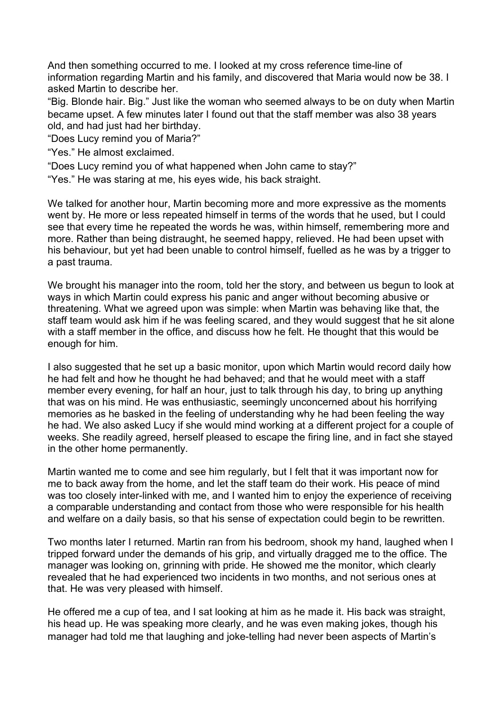And then something occurred to me. I looked at my cross reference time-line of information regarding Martin and his family, and discovered that Maria would now be 38. I asked Martin to describe her.

"Big. Blonde hair. Big." Just like the woman who seemed always to be on duty when Martin became upset. A few minutes later I found out that the staff member was also 38 years old, and had just had her birthday.

"Does Lucy remind you of Maria?"

- "Yes." He almost exclaimed.
- "Does Lucy remind you of what happened when John came to stay?"
- "Yes." He was staring at me, his eyes wide, his back straight.

We talked for another hour, Martin becoming more and more expressive as the moments went by. He more or less repeated himself in terms of the words that he used, but I could see that every time he repeated the words he was, within himself, remembering more and more. Rather than being distraught, he seemed happy, relieved. He had been upset with his behaviour, but yet had been unable to control himself, fuelled as he was by a trigger to a past trauma.

We brought his manager into the room, told her the story, and between us begun to look at ways in which Martin could express his panic and anger without becoming abusive or threatening. What we agreed upon was simple: when Martin was behaving like that, the staff team would ask him if he was feeling scared, and they would suggest that he sit alone with a staff member in the office, and discuss how he felt. He thought that this would be enough for him.

I also suggested that he set up a basic monitor, upon which Martin would record daily how he had felt and how he thought he had behaved; and that he would meet with a staff member every evening, for half an hour, just to talk through his day, to bring up anything that was on his mind. He was enthusiastic, seemingly unconcerned about his horrifying memories as he basked in the feeling of understanding why he had been feeling the way he had. We also asked Lucy if she would mind working at a different project for a couple of weeks. She readily agreed, herself pleased to escape the firing line, and in fact she stayed in the other home permanently.

Martin wanted me to come and see him regularly, but I felt that it was important now for me to back away from the home, and let the staff team do their work. His peace of mind was too closely inter-linked with me, and I wanted him to enjoy the experience of receiving a comparable understanding and contact from those who were responsible for his health and welfare on a daily basis, so that his sense of expectation could begin to be rewritten.

Two months later I returned. Martin ran from his bedroom, shook my hand, laughed when I tripped forward under the demands of his grip, and virtually dragged me to the office. The manager was looking on, grinning with pride. He showed me the monitor, which clearly revealed that he had experienced two incidents in two months, and not serious ones at that. He was very pleased with himself.

He offered me a cup of tea, and I sat looking at him as he made it. His back was straight, his head up. He was speaking more clearly, and he was even making jokes, though his manager had told me that laughing and joke-telling had never been aspects of Martin's